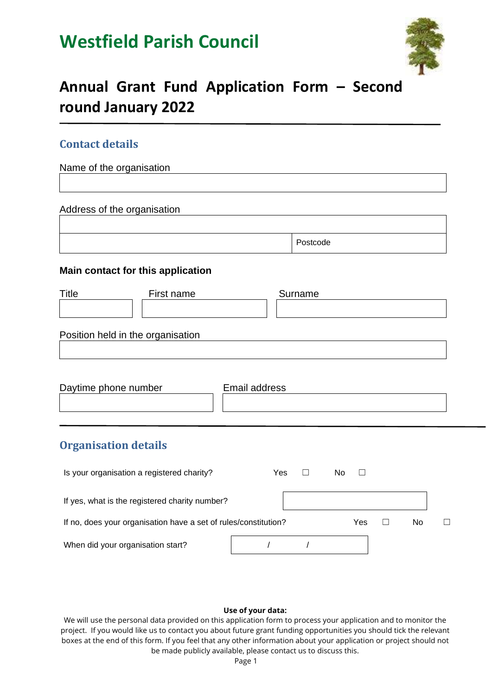# **Westfield Parish Council**



## **Annual Grant Fund Application Form – Second round January 2022**

### **Contact details**

Name of the organisation

Address of the organisation

| Postcode |  |
|----------|--|
|----------|--|

### **Main contact for this application**

| Title | First name                        | Surname |  |
|-------|-----------------------------------|---------|--|
|       |                                   |         |  |
|       |                                   |         |  |
|       | Position held in the organisation |         |  |
|       |                                   |         |  |
|       |                                   |         |  |

| Daytime phone number | Email address |
|----------------------|---------------|
|                      |               |
|                      |               |

### **Organisation details**

| Is your organisation a registered charity?                      | Yes | No  |    |  |
|-----------------------------------------------------------------|-----|-----|----|--|
| If yes, what is the registered charity number?                  |     |     |    |  |
| If no, does your organisation have a set of rules/constitution? |     | Yes | No |  |
| When did your organisation start?                               |     |     |    |  |

#### **Use of your data:**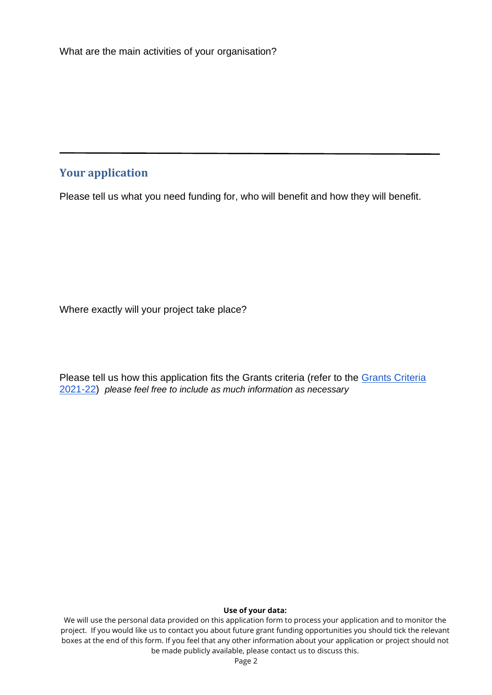### **Your application**

Please tell us what you need funding for, who will benefit and how they will benefit.

Where exactly will your project take place?

Please tell us how this application fits the Grants criteria (refer to the Grants Criteria [2021-22\)](https://www.westfieldparishcouncil.co.uk/community/grants/) *please feel free to include as much information as necessary*

#### **Use of your data:**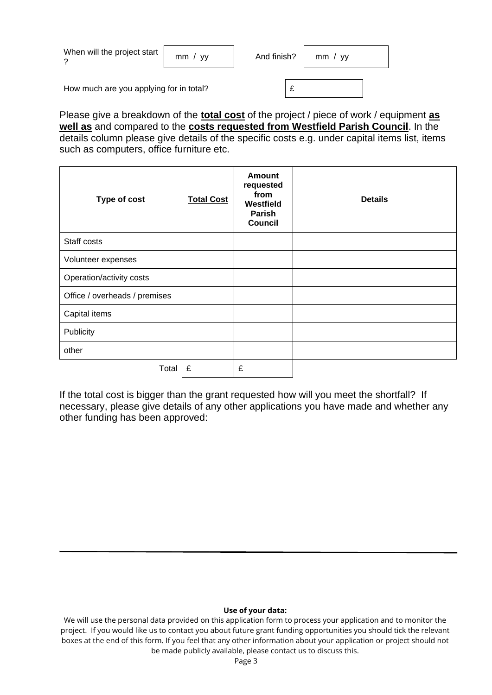| When will the project start             | mm / vV | And finish? | mm / vV |  |
|-----------------------------------------|---------|-------------|---------|--|
| How much are you applying for in total? |         |             |         |  |

Please give a breakdown of the **total cost** of the project / piece of work / equipment **as well as** and compared to the **costs requested from Westfield Parish Council**. In the details column please give details of the specific costs e.g. under capital items list, items such as computers, office furniture etc.

| Type of cost                  | <b>Total Cost</b> | <b>Amount</b><br>requested<br>from<br>Westfield<br>Parish<br><b>Council</b> | <b>Details</b> |
|-------------------------------|-------------------|-----------------------------------------------------------------------------|----------------|
| Staff costs                   |                   |                                                                             |                |
| Volunteer expenses            |                   |                                                                             |                |
| Operation/activity costs      |                   |                                                                             |                |
| Office / overheads / premises |                   |                                                                             |                |
| Capital items                 |                   |                                                                             |                |
| Publicity                     |                   |                                                                             |                |
| other                         |                   |                                                                             |                |
| Total                         | £                 | £                                                                           |                |

If the total cost is bigger than the grant requested how will you meet the shortfall? If necessary, please give details of any other applications you have made and whether any other funding has been approved:

#### **Use of your data:**

We will use the personal data provided on this application form to process your application and to monitor the project. If you would like us to contact you about future grant funding opportunities you should tick the relevant boxes at the end of this form. If you feel that any other information about your application or project should not be made publicly available, please contact us to discuss this.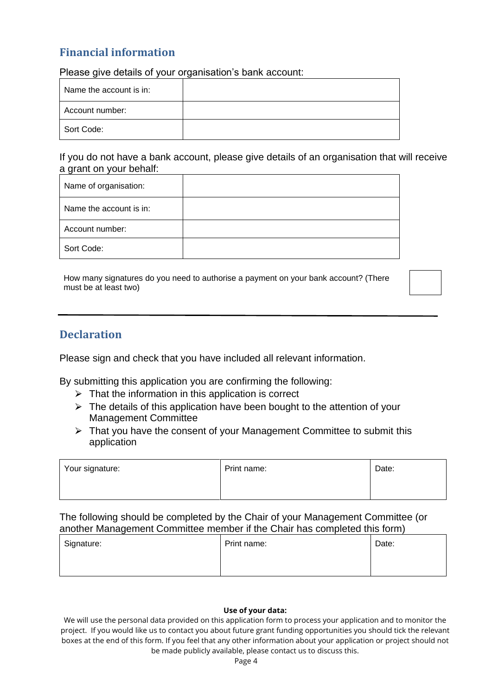### **Financial information**

Please give details of your organisation's bank account:

| Name the account is in: |  |
|-------------------------|--|
| l Account number:       |  |
| Sort Code:              |  |

If you do not have a bank account, please give details of an organisation that will receive a grant on your behalf:

| Name of organisation:   |  |
|-------------------------|--|
| Name the account is in: |  |
| Account number:         |  |
| Sort Code:              |  |

How many signatures do you need to authorise a payment on your bank account? (There must be at least two)

### **Declaration**

Please sign and check that you have included all relevant information.

By submitting this application you are confirming the following:

- $\triangleright$  That the information in this application is correct
- $\triangleright$  The details of this application have been bought to the attention of your Management Committee
- $\triangleright$  That you have the consent of your Management Committee to submit this application

| Your signature: | Print name: | Date: |
|-----------------|-------------|-------|
|                 |             |       |

The following should be completed by the Chair of your Management Committee (or another Management Committee member if the Chair has completed this form)

| Signature: | Print name: | Date: |
|------------|-------------|-------|
|            |             |       |

#### **Use of your data:**